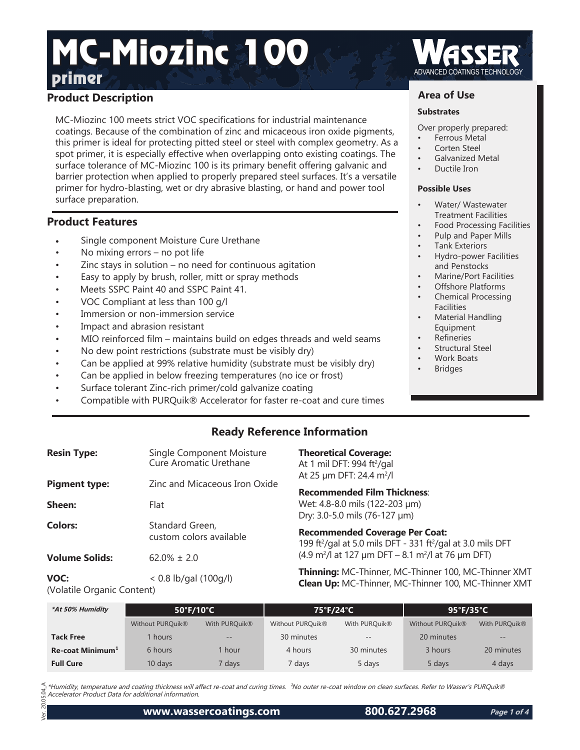# **Primer** ADVANCED COATINGS TECHNOLOGY MC-Miozinc 100

## **Product Description**

MC-Miozinc 100 meets strict VOC specifications for industrial maintenance coatings. Because of the combination of zinc and micaceous iron oxide pigments, this primer is ideal for protecting pitted steel or steel with complex geometry. As a spot primer, it is especially effective when overlapping onto existing coatings. The surface tolerance of MC-Miozinc 100 is its primary benefit offering galvanic and barrier protection when applied to properly prepared steel surfaces. It's a versatile primer for hydro-blasting, wet or dry abrasive blasting, or hand and power tool surface preparation.

## **Product Features**

- Single component Moisture Cure Urethane
- No mixing errors  $-$  no pot life
- Zinc stays in solution  $-$  no need for continuous agitation
- Easy to apply by brush, roller, mitt or spray methods
- Meets SSPC Paint 40 and SSPC Paint 41.
- VOC Compliant at less than 100 g/l
- Immersion or non-immersion service
- Impact and abrasion resistant
- MIO reinforced film maintains build on edges threads and weld seams
- No dew point restrictions (substrate must be visibly dry)
- Can be applied at 99% relative humidity (substrate must be visibly dry)
- Can be applied in below freezing temperatures (no ice or frost)
- Surface tolerant Zinc-rich primer/cold galvanize coating
- Compatible with PURQuik® Accelerator for faster re-coat and cure times

## **Area of Use**

#### **Substrates**

Over properly prepared:

- Ferrous Metal
- Corten Steel
- Galvanized Metal
- Ductile Iron

#### **Possible Uses**

- Water/ Wastewater Treatment Facilities
- Food Processing Facilities
- Pulp and Paper Mills
- Tank Exteriors
- Hydro-power Facilities and Penstocks
- Marine/Port Facilities
- Offshore Platforms
- Chemical Processing Facilities
- Material Handling Equipment
- **Refineries**
- Structural Steel
- Work Boats
- **Bridges**

## **Ready Reference Information**

| <b>Resin Type:</b>    | Single Component Moisture<br>Cure Aromatic Urethane |
|-----------------------|-----------------------------------------------------|
| <b>Pigment type:</b>  | Zinc and Micaceous Iron Oxide                       |
| Sheen:                | Flat                                                |
| Colors:               | Standard Green,<br>custom colors available          |
| <b>Volume Solids:</b> | $62.0\% \pm 2.0$                                    |

**Theoretical Coverage:**

At 1 mil DFT: 994 ft²/gal At 25 µm DFT: 24.4 m²/l

**Recommended Film Thickness**: Wet: 4.8-8.0 mils (122-203 μm) Dry: 3.0-5.0 mils (76-127 μm)

**Recommended Coverage Per Coat:** 199 ft<sup>2</sup>/gal at 5.0 mils DFT - 331 ft<sup>2</sup>/gal at 3.0 mils DFT  $(4.9 \text{ m}^2)$ l at 127 µm DFT – 8.1 m<sup>2</sup>/l at 76 µm DFT)

**Thinning:** MC-Thinner, MC-Thinner 100, MC-Thinner XMT **Clean Up:** MC-Thinner, MC-Thinner 100, MC-Thinner XMT

**VOC:** < 0.8 lb/gal (100g/l) (Volatile Organic Content)

| *At 50% Humidity             | $50^{\circ}$ F/10 $^{\circ}$ C |                           | 75°F/24°C                    |                   | $95^{\circ}$ F/35 $^{\circ}$ C |                   |
|------------------------------|--------------------------------|---------------------------|------------------------------|-------------------|--------------------------------|-------------------|
|                              | Without PURQuik <sup>®</sup>   | With PURQuik <sup>®</sup> | Without PURQuik <sup>®</sup> | With PURQuik®     | Without PURQuik®               | With PURQuik®     |
| <b>Tack Free</b>             | l hours                        | $\qquad \qquad -$         | 30 minutes                   | $\qquad \qquad -$ | 20 minutes                     | $\qquad \qquad -$ |
| Re-coat Minimum <sup>1</sup> | 6 hours                        | I hour                    | 4 hours                      | 30 minutes        | 3 hours                        | 20 minutes        |
| <b>Full Cure</b>             | 10 days                        | <sup>7</sup> days         | 7 days                       | 5 days            | 5 days                         | 4 days            |

 $05.04 A$ \*Humidity, temperature and coating thickness will affect re-coat and curing times. <sup>1</sup>No outer re-coat window on clean surfaces. Refer to Wasser's PURQuik® Accelerator Product Data for additional information.

Ver. 20.05.04\_A  $\approx$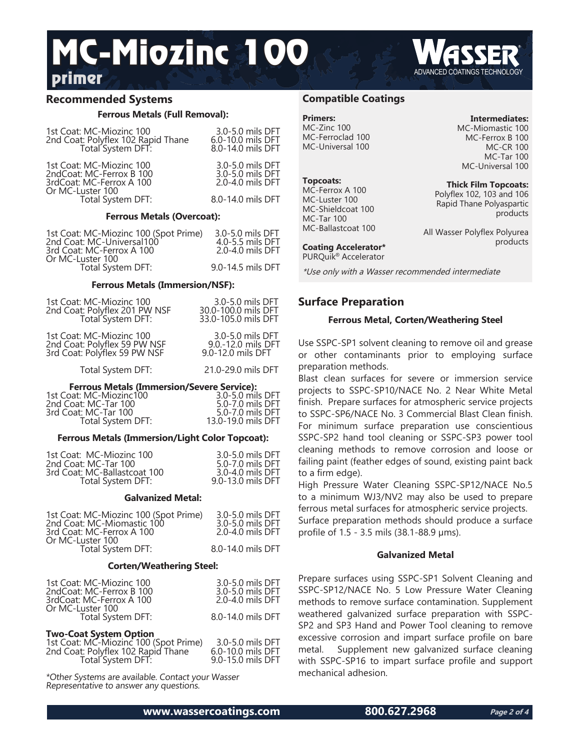## **Primer** ADVANCED COATINGS TECHNOLOGY MC-Miozinc 100

## **Recommended Systems**

#### **Ferrous Metals (Full Removal):**

| 1st Coat: MC-Miozinc 100<br>2nd Coat: Polyflex 102 Rapid Thane<br>Total System DFT:                  | 3.0-5.0 mils DFT<br>6.0-10.0 mils DFT<br>8.0-14.0 mils DFT |  |
|------------------------------------------------------------------------------------------------------|------------------------------------------------------------|--|
| 1st Coat: MC-Miozinc 100<br>2ndCoat: MC-Ferrox B 100<br>3rdCoat: MC-Ferrox A 100<br>Or MC-Luster 100 | 3.0-5.0 mils DFT<br>3.0-5.0 mils DFT<br>2.0-4.0 mils DFT   |  |
| Total System DFT:                                                                                    | 8.0-14.0 mils DFT                                          |  |
| <b>Ferrous Metals (Overcoat):</b>                                                                    |                                                            |  |
| 1st Coat: MC-Miozinc 100 (Spot Prime)<br>2nd Coat: MC-Universal100<br>3rd Coat: MC-Ferrox A 100      | 3.0-5.0 mils DFT<br>4.0-5.5 mils DFT<br>2.0-4.0 mils DFT   |  |

| 2nd Coat: MC-Universal100 | 4.0-5.5 mils DFT  |
|---------------------------|-------------------|
| 3rd Coat: MC-Ferrox A 100 | 2.0-4.0 mils DFT  |
| Or MC-Luster 100          |                   |
| Total System DFT:         | 9.0-14.5 mils DFT |
|                           |                   |

#### **Ferrous Metals (Immersion/NSF):**

| 1st Coat: MC-Miozinc 100<br>2nd Coat: Polyflex 201 PW NSF<br>Total System DFT:           | 3.0-5.0 mils DFT<br>30.0-100.0 mils DFT<br>33.0-105.0 mils DFT |
|------------------------------------------------------------------------------------------|----------------------------------------------------------------|
| 1st Coat: MC-Miozinc 100<br>2nd Coat: Polyflex 59 PW NSF<br>3rd Coat: Polyflex 59 PW NSF | 3.0-5.0 mils DFT<br>9.0.-12.0 mils DFT<br>9.0-12.0 mils DFT    |
| Total System DFT:                                                                        | 21.0-29.0 mils DFT                                             |
|                                                                                          |                                                                |

#### **Ferrous Metals (Immersion/Severe Service):**

| 1st Coat: MC-Miozinc100<br>2nd Coat: MC-Tar 100 | 3.0-5.0 mils DFT<br>5.0-7.0 mils DFT |
|-------------------------------------------------|--------------------------------------|
| 3rd Coat: MC-Tar 100                            | 5.0-7.0 mils DFT                     |
| Total System DFT:                               | 13.0-19.0 mils DFT                   |

#### **Ferrous Metals (Immersion/Light Color Topcoat):**

| 1st Coat: MC-Miozinc 100     | 3.0-5.0 mils DFT  |
|------------------------------|-------------------|
| 2nd Coat: MC-Tar 100         | 5.0-7.0 mils DFT  |
| 3rd Coat: MC-Ballastcoat 100 | 3.0-4.0 mils DFT  |
| Total System DFT:            | 9.0-13.0 mils DFT |

#### **Galvanized Metal:**

| 1st Coat: MC-Miozinc 100 (Spot Prime) | 3.0-5.0 mils DFT  |
|---------------------------------------|-------------------|
| 2nd Coat: MC-Miomastic 100            | 3.0-5.0 mils DFT  |
| 3rd Coat: MC-Ferrox A 100             | 2.0-4.0 mils DFT  |
| Or MC-Luster 100                      |                   |
| Total System DFT:                     | 8.0-14.0 mils DFT |

#### **Corten/Weathering Steel:**

| 1st Coat: MC-Miozinc 100<br>2ndCoat: MC-Ferrox B 100<br>3rdCoat: MC-Ferrox A 100 | 3.0-5.0 mils DFT<br>3.0-5.0 mils DFT<br>2.0-4.0 mils DFT |
|----------------------------------------------------------------------------------|----------------------------------------------------------|
| Or MC-Luster 100<br>Total System DFT:                                            | 8.0-14.0 mils DFT                                        |
| Two-Coat System Option                                                           | <b>COLO 1 DET</b>                                        |

| 1st Coat: MC-Miozinc 100 (Spot Prime) | 3.0-5.0 mils DFT  |
|---------------------------------------|-------------------|
| 2nd Coat: Polyflex 102 Rapid Thane    | 6.0-10.0 mils DFT |
| Total System DFT:                     | 9.0-15.0 mils DFT |
|                                       |                   |

\*Other Systems are available. Contact your Wasser Representative to answer any questions.

### **Compatible Coatings**

**Primers:** MC-Zinc 100 MC-Ferroclad 100 MC-Universal 100

**Topcoats:** MC-Ferrox A 100 MC-Luster 100 MC-Shieldcoat 100 MC-Tar 100 MC-Ballastcoat 100 **Intermediates:**

MC-Miomastic 100 MC-Ferrox B 100 MC-CR 100 MC-Tar 100 MC-Universal 100

**Thick Film Topcoats:** Polyflex 102, 103 and 106 Rapid Thane Polyaspartic products

All Wasser Polyflex Polyurea products

**Coating Accelerator\*** PURQuik® Accelerator

\*Use only with a Wasser recommended intermediate

## **Surface Preparation**

#### **Ferrous Metal, Corten/Weathering Steel**

Use SSPC-SP1 solvent cleaning to remove oil and grease or other contaminants prior to employing surface preparation methods.

Blast clean surfaces for severe or immersion service projects to SSPC-SP10/NACE No. 2 Near White Metal finish. Prepare surfaces for atmospheric service projects to SSPC-SP6/NACE No. 3 Commercial Blast Clean finish. For minimum surface preparation use conscientious SSPC-SP2 hand tool cleaning or SSPC-SP3 power tool cleaning methods to remove corrosion and loose or failing paint (feather edges of sound, existing paint back to a firm edge).

High Pressure Water Cleaning SSPC-SP12/NACE No.5 to a minimum WJ3/NV2 may also be used to prepare ferrous metal surfaces for atmospheric service projects.

Surface preparation methods should produce a surface profile of 1.5 - 3.5 mils (38.1-88.9 μms).

#### **Galvanized Metal**

Prepare surfaces using SSPC-SP1 Solvent Cleaning and SSPC-SP12/NACE No. 5 Low Pressure Water Cleaning methods to remove surface contamination. Supplement weathered galvanized surface preparation with SSPC-SP2 and SP3 Hand and Power Tool cleaning to remove excessive corrosion and impart surface profile on bare metal. Supplement new galvanized surface cleaning with SSPC-SP16 to impart surface profile and support mechanical adhesion.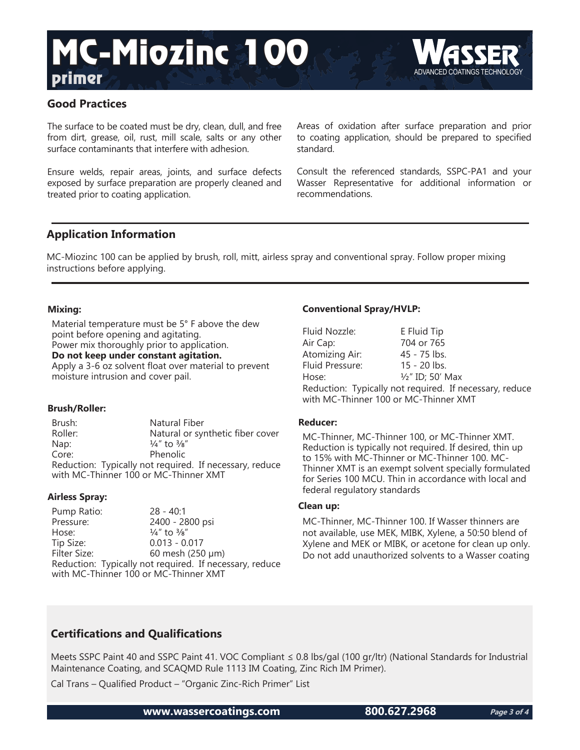## **Primer** ADVANCED COATINGS TECHNOLOGY MC-Miozinc 100



## **Good Practices**

The surface to be coated must be dry, clean, dull, and free from dirt, grease, oil, rust, mill scale, salts or any other surface contaminants that interfere with adhesion.

Ensure welds, repair areas, joints, and surface defects exposed by surface preparation are properly cleaned and treated prior to coating application.

Areas of oxidation after surface preparation and prior to coating application, should be prepared to specified standard.

Consult the referenced standards, SSPC-PA1 and your Wasser Representative for additional information or recommendations.

## **Application Information**

MC-Miozinc 100 can be applied by brush, roll, mitt, airless spray and conventional spray. Follow proper mixing instructions before applying.

## **Mixing:**

Material temperature must be 5° F above the dew point before opening and agitating. Power mix thoroughly prior to application.

**Do not keep under constant agitation.**

Apply a 3-6 oz solvent float over material to prevent moisture intrusion and cover pail.

## **Brush/Roller:**

Brush: Natural Fiber<br>Roller: Natural or svi Natural or synthetic fiber cover Nap:  $\frac{1}{4}$ " to  $\frac{3}{8}$ " Core: Phenolic Reduction: Typically not required. If necessary, reduce with MC-Thinner 100 or MC-Thinner XMT

## **Airless Spray:**

| Pump Ratio:                           | $28 - 40:1$                                             |
|---------------------------------------|---------------------------------------------------------|
| Pressure:                             | 2400 - 2800 psi                                         |
| Hose:                                 | $\frac{1}{4}$ " to $\frac{3}{8}$ "                      |
| Tip Size:                             | $0.013 - 0.017$                                         |
| Filter Size:                          | 60 mesh (250 µm)                                        |
|                                       | Reduction: Typically not required. If necessary, reduce |
| with MC-Thinner 100 or MC-Thinner XMT |                                                         |

## **Conventional Spray/HVLP:**

| Fluid Nozzle:                                           | E Fluid Tip                 |  |
|---------------------------------------------------------|-----------------------------|--|
| Air Cap:                                                | 704 or 765                  |  |
| Atomizing Air:                                          | 45 - 75 lbs.                |  |
| Fluid Pressure:                                         | $15 - 20$ lbs.              |  |
| Hose:                                                   | $\frac{1}{2}$ " ID; 50' Max |  |
| Reduction: Typically not required. If necessary, reduce |                             |  |
| with MC-Thinner 100 or MC-Thinner XMT                   |                             |  |

## **Reducer:**

MC-Thinner, MC-Thinner 100, or MC-Thinner XMT. Reduction is typically not required. If desired, thin up to 15% with MC-Thinner or MC-Thinner 100. MC-Thinner XMT is an exempt solvent specially formulated for Series 100 MCU. Thin in accordance with local and federal regulatory standards

## **Clean up:**

MC-Thinner, MC-Thinner 100. If Wasser thinners are not available, use MEK, MIBK, Xylene, a 50:50 blend of Xylene and MEK or MIBK, or acetone for clean up only. Do not add unauthorized solvents to a Wasser coating

## **Certifications and Qualifications**

Meets SSPC Paint 40 and SSPC Paint 41. VOC Compliant ≤ 0.8 lbs/gal (100 gr/ltr) (National Standards for Industrial Maintenance Coating, and SCAQMD Rule 1113 IM Coating, Zinc Rich IM Primer).

Cal Trans – Qualified Product – "Organic Zinc-Rich Primer" List

**www.wassercoatings.com 800.627.2968**

**Page 3 of 4**